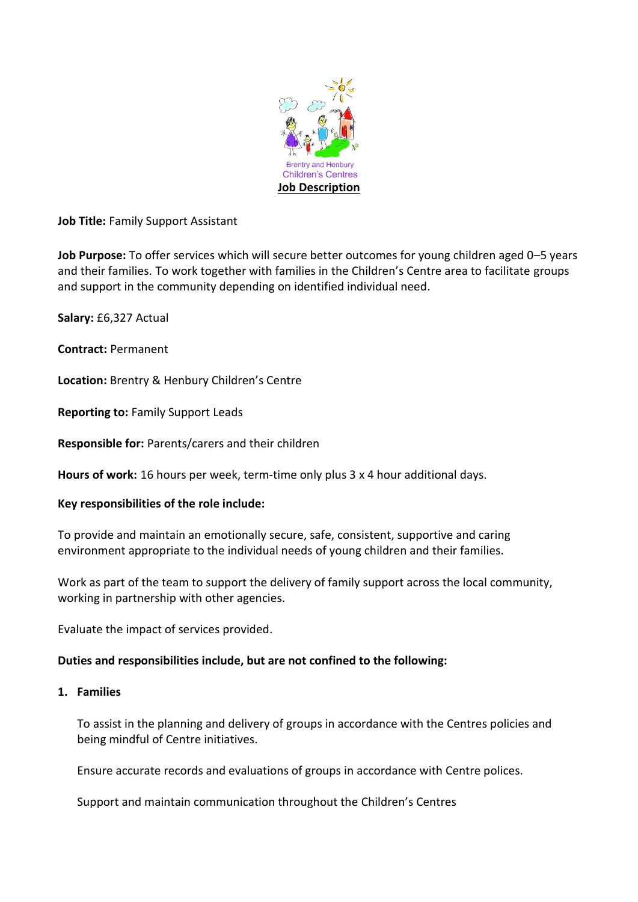

**Job Title:** Family Support Assistant

**Job Purpose:** To offer services which will secure better outcomes for young children aged 0–5 years and their families. To work together with families in the Children's Centre area to facilitate groups and support in the community depending on identified individual need.

**Salary:** £6,327 Actual

**Contract:** Permanent

**Location:** Brentry & Henbury Children's Centre

**Reporting to:** Family Support Leads

**Responsible for:** Parents/carers and their children

**Hours of work:** 16 hours per week, term-time only plus 3 x 4 hour additional days.

### **Key responsibilities of the role include:**

To provide and maintain an emotionally secure, safe, consistent, supportive and caring environment appropriate to the individual needs of young children and their families.

Work as part of the team to support the delivery of family support across the local community, working in partnership with other agencies.

Evaluate the impact of services provided.

### **Duties and responsibilities include, but are not confined to the following:**

### **1. Families**

To assist in the planning and delivery of groups in accordance with the Centres policies and being mindful of Centre initiatives.

Ensure accurate records and evaluations of groups in accordance with Centre polices.

Support and maintain communication throughout the Children's Centres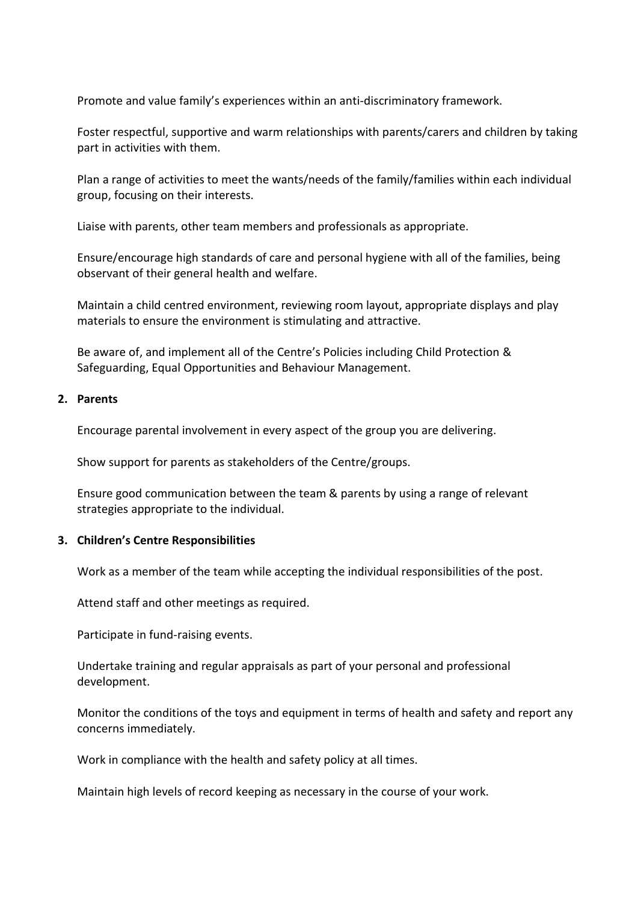Promote and value family's experiences within an anti-discriminatory framework.

Foster respectful, supportive and warm relationships with parents/carers and children by taking part in activities with them.

Plan a range of activities to meet the wants/needs of the family/families within each individual group, focusing on their interests.

Liaise with parents, other team members and professionals as appropriate.

Ensure/encourage high standards of care and personal hygiene with all of the families, being observant of their general health and welfare.

Maintain a child centred environment, reviewing room layout, appropriate displays and play materials to ensure the environment is stimulating and attractive.

Be aware of, and implement all of the Centre's Policies including Child Protection & Safeguarding, Equal Opportunities and Behaviour Management.

## **2. Parents**

Encourage parental involvement in every aspect of the group you are delivering.

Show support for parents as stakeholders of the Centre/groups.

Ensure good communication between the team & parents by using a range of relevant strategies appropriate to the individual.

### **3. Children's Centre Responsibilities**

Work as a member of the team while accepting the individual responsibilities of the post.

Attend staff and other meetings as required.

Participate in fund-raising events.

Undertake training and regular appraisals as part of your personal and professional development.

Monitor the conditions of the toys and equipment in terms of health and safety and report any concerns immediately.

Work in compliance with the health and safety policy at all times.

Maintain high levels of record keeping as necessary in the course of your work.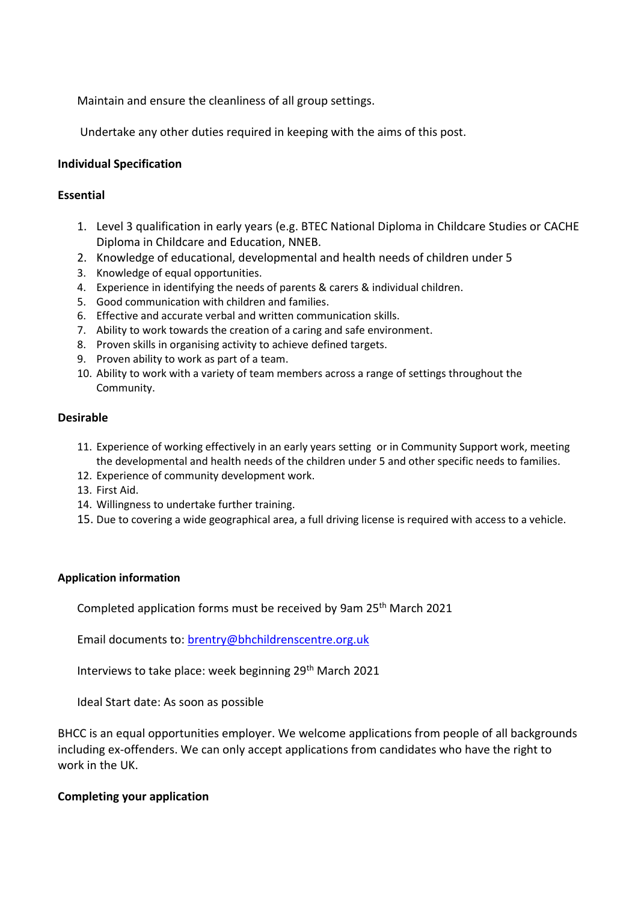Maintain and ensure the cleanliness of all group settings.

Undertake any other duties required in keeping with the aims of this post.

# **Individual Specification**

### **Essential**

- 1. Level 3 qualification in early years (e.g. BTEC National Diploma in Childcare Studies or CACHE Diploma in Childcare and Education, NNEB.
- 2. Knowledge of educational, developmental and health needs of children under 5
- 3. Knowledge of equal opportunities.
- 4. Experience in identifying the needs of parents & carers & individual children.
- 5. Good communication with children and families.
- 6. Effective and accurate verbal and written communication skills.
- 7. Ability to work towards the creation of a caring and safe environment.
- 8. Proven skills in organising activity to achieve defined targets.
- 9. Proven ability to work as part of a team.
- 10. Ability to work with a variety of team members across a range of settings throughout the Community.

#### **Desirable**

- 11. Experience of working effectively in an early years setting or in Community Support work, meeting the developmental and health needs of the children under 5 and other specific needs to families.
- 12. Experience of community development work.
- 13. First Aid.
- 14. Willingness to undertake further training.
- 15. Due to covering a wide geographical area, a full driving license is required with access to a vehicle.

### **Application information**

Completed application forms must be received by 9am 25<sup>th</sup> March 2021

Email documents to: [brentry@bhchildrenscentre.org.uk](mailto:brentry@bhchildrenscentre.org.uk)

Interviews to take place: week beginning 29<sup>th</sup> March 2021

Ideal Start date: As soon as possible

BHCC is an equal opportunities employer. We welcome applications from people of all backgrounds including ex-offenders. We can only accept applications from candidates who have the right to work in the UK.

### **Completing your application**